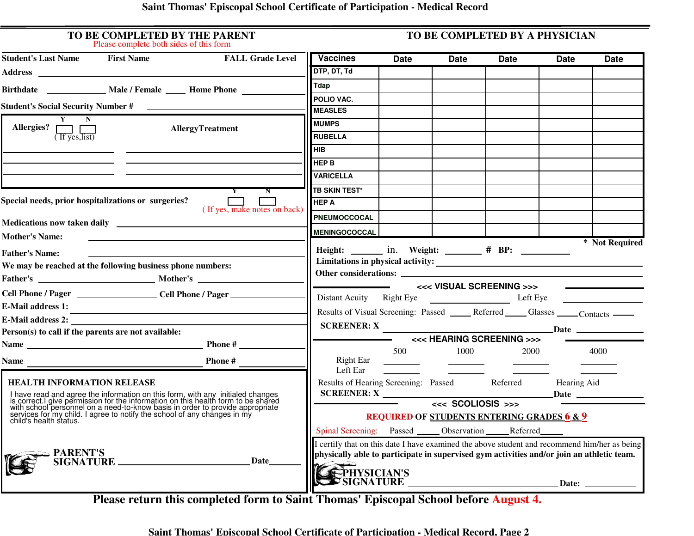## **Saint Thomas' Episcopal School Certificate of Participation - Medical Record**

| TO BE COMPLETED BY THE PARENT<br>Please complete both sides of this form                                                                                                                                                                                            | TO BE COMPLETED BY A PHYSICIAN |                                                                                                                       |                                                                                                                         |                          |                                                                     |             |                |
|---------------------------------------------------------------------------------------------------------------------------------------------------------------------------------------------------------------------------------------------------------------------|--------------------------------|-----------------------------------------------------------------------------------------------------------------------|-------------------------------------------------------------------------------------------------------------------------|--------------------------|---------------------------------------------------------------------|-------------|----------------|
| <b>Student's Last Name First Name</b>                                                                                                                                                                                                                               | <b>FALL Grade Level</b>        | <b>Vaccines</b>                                                                                                       | Date                                                                                                                    | Date                     | <b>Date</b>                                                         | <b>Date</b> | <b>Date</b>    |
|                                                                                                                                                                                                                                                                     |                                | DTP, DT, Td                                                                                                           |                                                                                                                         |                          |                                                                     |             |                |
|                                                                                                                                                                                                                                                                     |                                | Tdap                                                                                                                  |                                                                                                                         |                          |                                                                     |             |                |
|                                                                                                                                                                                                                                                                     |                                | POLIO VAC.                                                                                                            |                                                                                                                         |                          |                                                                     |             |                |
|                                                                                                                                                                                                                                                                     |                                | <b>MEASLES</b>                                                                                                        |                                                                                                                         |                          |                                                                     |             |                |
| $\overline{Y}$ N<br>AllergyTreatment                                                                                                                                                                                                                                |                                | <b>MUMPS</b>                                                                                                          |                                                                                                                         |                          |                                                                     |             |                |
| Allergies? $\boxed{\phantom{a}}$ ( If yes, list)                                                                                                                                                                                                                    |                                | <b>RUBELLA</b>                                                                                                        |                                                                                                                         |                          |                                                                     |             |                |
|                                                                                                                                                                                                                                                                     |                                | <b>HIB</b>                                                                                                            |                                                                                                                         |                          |                                                                     |             |                |
|                                                                                                                                                                                                                                                                     |                                | <b>HEP B</b>                                                                                                          |                                                                                                                         |                          |                                                                     |             |                |
|                                                                                                                                                                                                                                                                     |                                | <b>VARICELLA</b>                                                                                                      |                                                                                                                         |                          |                                                                     |             |                |
|                                                                                                                                                                                                                                                                     | $\mathbf N$                    | <b>TB SKIN TEST*</b>                                                                                                  |                                                                                                                         |                          |                                                                     |             |                |
| Special needs, prior hospitalizations or surgeries?<br>$\Box$<br>(If yes, make notes on back)                                                                                                                                                                       |                                | <b>HEP A</b>                                                                                                          |                                                                                                                         |                          |                                                                     |             |                |
| Medications now taken daily <b>container the contract of the contract of the contract of the contract of the contract of the contract of the contract of the contract of the contract of the contract of the contract of the con</b>                                |                                | PNEUMOCCOCAL                                                                                                          |                                                                                                                         |                          |                                                                     |             |                |
| <b>Mother's Name:</b>                                                                                                                                                                                                                                               |                                | <b>MENINGOCOCCAL</b>                                                                                                  |                                                                                                                         |                          |                                                                     |             |                |
|                                                                                                                                                                                                                                                                     |                                |                                                                                                                       |                                                                                                                         |                          |                                                                     |             | * Not Required |
| <b>Father's Name:</b>                                                                                                                                                                                                                                               |                                |                                                                                                                       |                                                                                                                         |                          |                                                                     |             |                |
| We may be reached at the following business phone numbers:                                                                                                                                                                                                          |                                |                                                                                                                       |                                                                                                                         |                          |                                                                     |             |                |
| Father's Mother's                                                                                                                                                                                                                                                   |                                |                                                                                                                       |                                                                                                                         |                          |                                                                     |             |                |
|                                                                                                                                                                                                                                                                     |                                | Distant Acuity Right Eye Left Eye                                                                                     |                                                                                                                         |                          |                                                                     |             |                |
| <b>E-Mail address 1:</b>                                                                                                                                                                                                                                            |                                | Results of Visual Screening: Passed ______ Referred ______ Glasses _____ Contacts _____                               |                                                                                                                         |                          |                                                                     |             |                |
| <b>E-Mail address 2:</b>                                                                                                                                                                                                                                            |                                |                                                                                                                       |                                                                                                                         |                          |                                                                     |             |                |
| Person(s) to call if the parents are not available:                                                                                                                                                                                                                 |                                | <<< HEARING SCREENING >>><br>and the state                                                                            |                                                                                                                         |                          |                                                                     |             |                |
|                                                                                                                                                                                                                                                                     |                                |                                                                                                                       |                                                                                                                         | 500 1000                 |                                                                     |             | 4000           |
| Name                                                                                                                                                                                                                                                                | Phone #                        | <b>Right Ear</b>                                                                                                      | <u> The Communication of the Communication of the Communication of the Communication of the Communication of the Co</u> | $\overline{\phantom{a}}$ |                                                                     |             |                |
|                                                                                                                                                                                                                                                                     |                                | Left Ear                                                                                                              |                                                                                                                         |                          | $\overline{\phantom{a}}$ . The contract of $\overline{\phantom{a}}$ |             |                |
| <b>HEALTH INFORMATION RELEASE</b><br>I have read and agree the information on this form, with any initialed changes is correct. I give permission for the information on this health form to be shared with school personnel on a need-to-know basis in order to pr |                                | Results of Hearing Screening: Passed _______ Referred ______ Hearing Aid _____                                        |                                                                                                                         |                          |                                                                     |             |                |
|                                                                                                                                                                                                                                                                     |                                |                                                                                                                       |                                                                                                                         |                          |                                                                     |             |                |
|                                                                                                                                                                                                                                                                     |                                | <b>REQUIRED OF STUDENTS ENTERING GRADES 6 &amp; 9</b><br>Spinal Screening: Passed ______ Observation ______ Referred_ |                                                                                                                         |                          |                                                                     |             |                |
| child's health status.                                                                                                                                                                                                                                              |                                |                                                                                                                       |                                                                                                                         |                          |                                                                     |             |                |
|                                                                                                                                                                                                                                                                     |                                | I certify that on this date I have examined the above student and recommend him/her as being                          |                                                                                                                         |                          |                                                                     |             |                |
| PARENT'S<br>SIGNATURE                                                                                                                                                                                                                                               |                                | physically able to participate in supervised gym activities and/or join an athletic team.                             |                                                                                                                         |                          |                                                                     |             |                |
|                                                                                                                                                                                                                                                                     | Date                           | <b>FPHYSICIAN'S<br/>SIGNATURE</b>                                                                                     |                                                                                                                         |                          |                                                                     |             |                |
|                                                                                                                                                                                                                                                                     |                                |                                                                                                                       |                                                                                                                         |                          |                                                                     |             |                |

**Please return this completed form to Saint Thomas' Episcopal School before August 4.**

 **Saint Thomas' Episcopal School Certificate of Participation - Medical Record, Page 2**